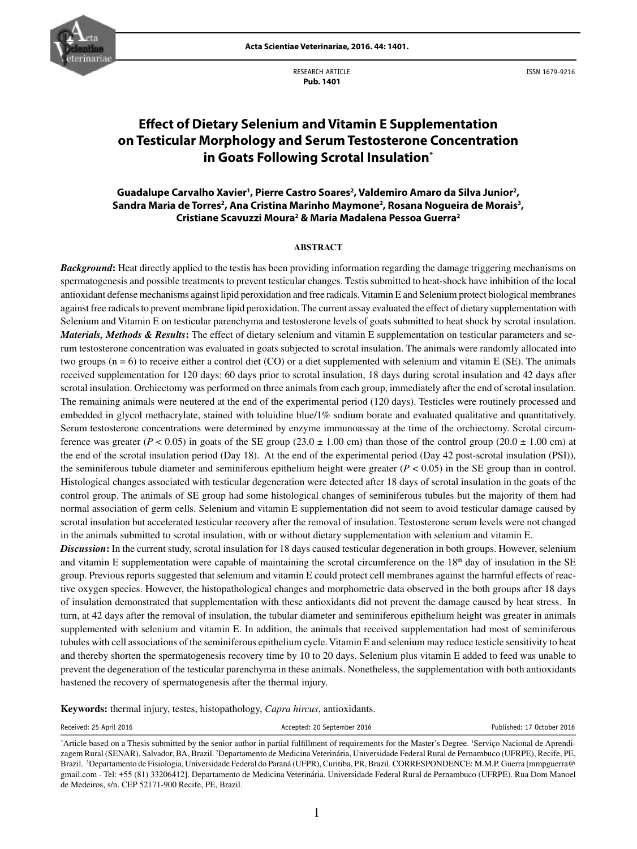

RESEARCH ARTICLE  **Pub. 1401**

ISSN 1679-9216

# **Effect of Dietary Selenium and Vitamin E Supplementation on Testicular Morphology and Serum Testosterone Concentration in Goats Following Scrotal Insulation\***

# Guadalupe Carvalho Xavier<sup>1</sup>, Pierre Castro Soares<sup>2</sup>, Valdemiro Amaro da Silva Junior<sup>2</sup>, Sandra Maria de Torres<sup>2</sup>, Ana Cristina Marinho Maymone<sup>2</sup>, Rosana Nogueira de Morais<sup>3</sup>, **Cristiane Scavuzzi Moura2 & Maria Madalena Pessoa Guerra2**

#### **ABSTRACT**

*Background***:** Heat directly applied to the testis has been providing information regarding the damage triggering mechanisms on spermatogenesis and possible treatments to prevent testicular changes. Testis submitted to heat-shock have inhibition of the local antioxidant defense mechanisms against lipid peroxidation and free radicals. Vitamin E and Selenium protect biological membranes against free radicals to prevent membrane lipid peroxidation. The current assay evaluated the effect of dietary supplementation with Selenium and Vitamin E on testicular parenchyma and testosterone levels of goats submitted to heat shock by scrotal insulation. *Materials, Methods & Results***:** The effect of dietary selenium and vitamin E supplementation on testicular parameters and serum testosterone concentration was evaluated in goats subjected to scrotal insulation. The animals were randomly allocated into two groups (n = 6) to receive either a control diet (CO) or a diet supplemented with selenium and vitamin E (SE). The animals received supplementation for 120 days: 60 days prior to scrotal insulation, 18 days during scrotal insulation and 42 days after scrotal insulation. Orchiectomy was performed on three animals from each group, immediately after the end of scrotal insulation. The remaining animals were neutered at the end of the experimental period (120 days). Testicles were routinely processed and embedded in glycol methacrylate, stained with toluidine blue/1% sodium borate and evaluated qualitative and quantitatively. Serum testosterone concentrations were determined by enzyme immunoassay at the time of the orchiectomy. Scrotal circumference was greater ( $P < 0.05$ ) in goats of the SE group (23.0  $\pm$  1.00 cm) than those of the control group (20.0  $\pm$  1.00 cm) at the end of the scrotal insulation period (Day 18). At the end of the experimental period (Day 42 post-scrotal insulation (PSI)), the seminiferous tubule diameter and seminiferous epithelium height were greater  $(P < 0.05)$  in the SE group than in control. Histological changes associated with testicular degeneration were detected after 18 days of scrotal insulation in the goats of the control group. The animals of SE group had some histological changes of seminiferous tubules but the majority of them had normal association of germ cells. Selenium and vitamin E supplementation did not seem to avoid testicular damage caused by scrotal insulation but accelerated testicular recovery after the removal of insulation. Testosterone serum levels were not changed in the animals submitted to scrotal insulation, with or without dietary supplementation with selenium and vitamin E.

*Discussion*: In the current study, scrotal insulation for 18 days caused testicular degeneration in both groups. However, selenium and vitamin E supplementation were capable of maintaining the scrotal circumference on the  $18<sup>th</sup>$  day of insulation in the SE group. Previous reports suggested that selenium and vitamin E could protect cell membranes against the harmful effects of reactive oxygen species. However, the histopathological changes and morphometric data observed in the both groups after 18 days of insulation demonstrated that supplementation with these antioxidants did not prevent the damage caused by heat stress. In turn, at 42 days after the removal of insulation, the tubular diameter and seminiferous epithelium height was greater in animals supplemented with selenium and vitamin E. In addition, the animals that received supplementation had most of seminiferous tubules with cell associations of the seminiferous epithelium cycle. Vitamin E and selenium may reduce testicle sensitivity to heat and thereby shorten the spermatogenesis recovery time by 10 to 20 days. Selenium plus vitamin E added to feed was unable to prevent the degeneration of the testicular parenchyma in these animals. Nonetheless, the supplementation with both antioxidants hastened the recovery of spermatogenesis after the thermal injury.

**Keywords:** thermal injury, testes, histopathology, *Capra hircus*, antioxidants.

Received: 25 April 2016 **Accepted: 20 September 2016** Accepted: 20 September 2016 **Published: 17 October 2016** 

<sup>\*</sup> Article based on a Thesis submitted by the senior author in partial fulfillment of requirements for the Master's Degree. 1 Serviço Nacional de Aprendizagem Rural (SENAR), Salvador, BA, Brazil. 2 Departamento de Medicina Veterinária, Universidade Federal Rural de Pernambuco (UFRPE), Recife, PE, Brazil. <sup>3</sup>Departamento de Fisiologia, Universidade Federal do Paraná (UFPR), Curitiba, PR, Brazil. CORRESPONDENCE: M.M.P. Guerra [mmpguerra@ gmail.com - Tel: +55 (81) 33206412]. Departamento de Medicina Veterinária, Universidade Federal Rural de Pernambuco (UFRPE). Rua Dom Manoel de Medeiros, s/n. CEP 52171-900 Recife, PE, Brazil.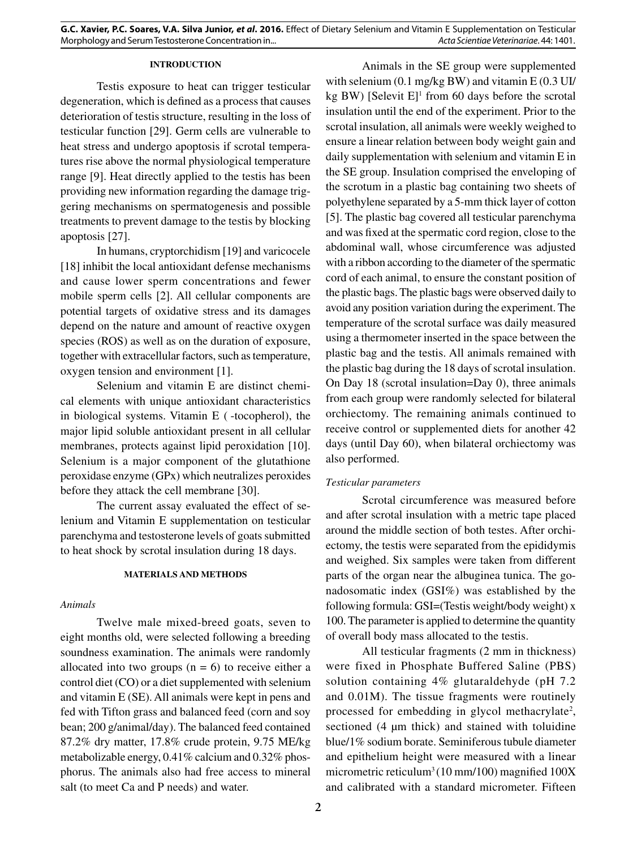## **INTRODUCTION**

Testis exposure to heat can trigger testicular degeneration, which is defined as a process that causes deterioration of testis structure, resulting in the loss of testicular function [29]. Germ cells are vulnerable to heat stress and undergo apoptosis if scrotal temperatures rise above the normal physiological temperature range [9]. Heat directly applied to the testis has been providing new information regarding the damage triggering mechanisms on spermatogenesis and possible treatments to prevent damage to the testis by blocking apoptosis [27].

In humans, cryptorchidism [19] and varicocele [18] inhibit the local antioxidant defense mechanisms and cause lower sperm concentrations and fewer mobile sperm cells [2]. All cellular components are potential targets of oxidative stress and its damages depend on the nature and amount of reactive oxygen species (ROS) as well as on the duration of exposure, together with extracellular factors, such as temperature, oxygen tension and environment [1].

Selenium and vitamin E are distinct chemical elements with unique antioxidant characteristics in biological systems. Vitamin  $E$  ( $-$ tocopherol), the major lipid soluble antioxidant present in all cellular membranes, protects against lipid peroxidation [10]. Selenium is a major component of the glutathione peroxidase enzyme (GPx) which neutralizes peroxides before they attack the cell membrane [30].

The current assay evaluated the effect of selenium and Vitamin E supplementation on testicular parenchyma and testosterone levels of goats submitted to heat shock by scrotal insulation during 18 days.

#### **MATERIALS AND METHODS**

#### *Animals*

Twelve male mixed-breed goats, seven to eight months old, were selected following a breeding soundness examination. The animals were randomly allocated into two groups  $(n = 6)$  to receive either a control diet (CO) or a diet supplemented with selenium and vitamin E (SE). All animals were kept in pens and fed with Tifton grass and balanced feed (corn and soy bean; 200 g/animal/day). The balanced feed contained 87.2% dry matter, 17.8% crude protein, 9.75 ME/kg metabolizable energy, 0.41% calcium and 0.32% phosphorus. The animals also had free access to mineral salt (to meet Ca and P needs) and water.

Animals in the SE group were supplemented with selenium (0.1 mg/kg BW) and vitamin E (0.3 UI/ kg BW) [Selevit  $E$ ]<sup>1</sup> from 60 days before the scrotal insulation until the end of the experiment. Prior to the scrotal insulation, all animals were weekly weighed to ensure a linear relation between body weight gain and daily supplementation with selenium and vitamin E in the SE group. Insulation comprised the enveloping of the scrotum in a plastic bag containing two sheets of polyethylene separated by a 5-mm thick layer of cotton [5]. The plastic bag covered all testicular parenchyma and was fixed at the spermatic cord region, close to the abdominal wall, whose circumference was adjusted with a ribbon according to the diameter of the spermatic cord of each animal, to ensure the constant position of the plastic bags. The plastic bags were observed daily to avoid any position variation during the experiment. The temperature of the scrotal surface was daily measured using a thermometer inserted in the space between the plastic bag and the testis. All animals remained with the plastic bag during the 18 days of scrotal insulation. On Day 18 (scrotal insulation=Day 0), three animals from each group were randomly selected for bilateral orchiectomy. The remaining animals continued to receive control or supplemented diets for another 42 days (until Day 60), when bilateral orchiectomy was also performed.

# *Testicular parameters*

Scrotal circumference was measured before and after scrotal insulation with a metric tape placed around the middle section of both testes. After orchiectomy, the testis were separated from the epididymis and weighed. Six samples were taken from different parts of the organ near the albuginea tunica. The gonadosomatic index (GSI%) was established by the following formula: GSI=(Testis weight/body weight) x 100. The parameter is applied to determine the quantity of overall body mass allocated to the testis.

All testicular fragments (2 mm in thickness) were fixed in Phosphate Buffered Saline (PBS) solution containing 4% glutaraldehyde (pH 7.2 and 0.01M). The tissue fragments were routinely processed for embedding in glycol methacrylate<sup>2</sup>, sectioned (4  $\mu$ m thick) and stained with toluidine blue/1% sodium borate. Seminiferous tubule diameter and epithelium height were measured with a linear micrometric reticulum<sup>3</sup> (10 mm/100) magnified  $100X$ and calibrated with a standard micrometer. Fifteen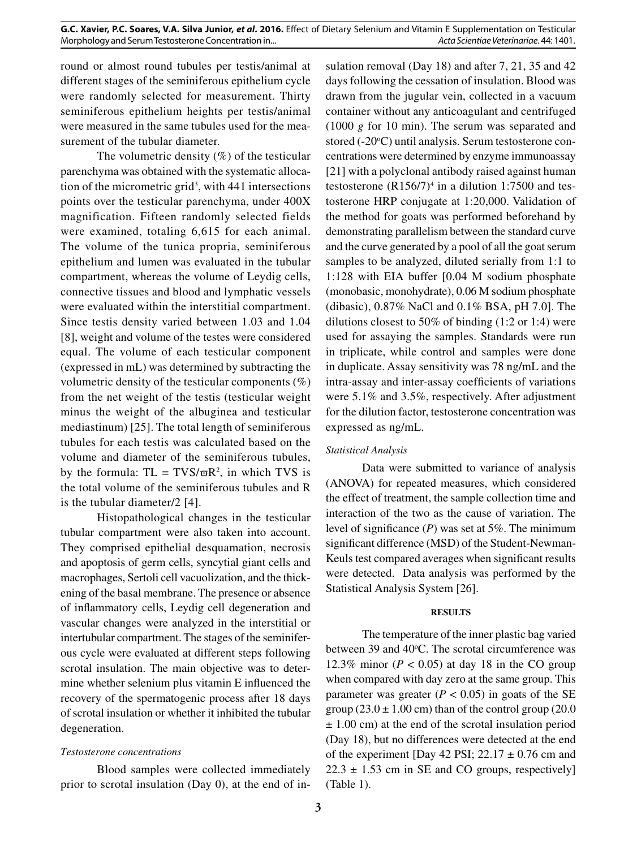round or almost round tubules per testis/animal at different stages of the seminiferous epithelium cycle were randomly selected for measurement. Thirty seminiferous epithelium heights per testis/animal were measured in the same tubules used for the measurement of the tubular diameter.

The volumetric density  $(\%)$  of the testicular parenchyma was obtained with the systematic allocation of the micrometric grid3 , with 441 intersections points over the testicular parenchyma, under 400X magnification. Fifteen randomly selected fields were examined, totaling 6,615 for each animal. The volume of the tunica propria, seminiferous epithelium and lumen was evaluated in the tubular compartment, whereas the volume of Leydig cells, connective tissues and blood and lymphatic vessels were evaluated within the interstitial compartment. Since testis density varied between 1.03 and 1.04 [8], weight and volume of the testes were considered equal. The volume of each testicular component (expressed in mL) was determined by subtracting the volumetric density of the testicular components  $(\%)$ from the net weight of the testis (testicular weight minus the weight of the albuginea and testicular mediastinum) [25]. The total length of seminiferous tubules for each testis was calculated based on the volume and diameter of the seminiferous tubules, by the formula:  $TL = TVS/\varpi R^2$ , in which TVS is the total volume of the seminiferous tubules and R is the tubular diameter/2 [4].

Histopathological changes in the testicular tubular compartment were also taken into account. They comprised epithelial desquamation, necrosis and apoptosis of germ cells, syncytial giant cells and macrophages, Sertoli cell vacuolization, and the thickening of the basal membrane. The presence or absence of inflammatory cells, Leydig cell degeneration and vascular changes were analyzed in the interstitial or intertubular compartment. The stages of the seminiferous cycle were evaluated at different steps following scrotal insulation. The main objective was to determine whether selenium plus vitamin E influenced the recovery of the spermatogenic process after 18 days of scrotal insulation or whether it inhibited the tubular degeneration.

## *Testosterone concentrations*

Blood samples were collected immediately prior to scrotal insulation (Day 0), at the end of insulation removal (Day 18) and after 7, 21, 35 and 42 days following the cessation of insulation. Blood was drawn from the jugular vein, collected in a vacuum container without any anticoagulant and centrifuged (1000 *g* for 10 min). The serum was separated and stored (-20°C) until analysis. Serum testosterone concentrations were determined by enzyme immunoassay [21] with a polyclonal antibody raised against human testosterone  $(R156/7)^4$  in a dilution 1:7500 and testosterone HRP conjugate at 1:20,000. Validation of the method for goats was performed beforehand by demonstrating parallelism between the standard curve and the curve generated by a pool of all the goat serum samples to be analyzed, diluted serially from 1:1 to 1:128 with EIA buffer [0.04 M sodium phosphate (monobasic, monohydrate), 0.06 M sodium phosphate (dibasic), 0.87% NaCl and 0.1% BSA, pH 7.0]. The dilutions closest to 50% of binding (1:2 or 1:4) were used for assaying the samples. Standards were run in triplicate, while control and samples were done in duplicate. Assay sensitivity was 78 ng/mL and the intra-assay and inter-assay coefficients of variations were 5.1% and 3.5%, respectively. After adjustment for the dilution factor, testosterone concentration was expressed as ng/mL.

## *Statistical Analysis*

Data were submitted to variance of analysis (ANOVA) for repeated measures, which considered the effect of treatment, the sample collection time and interaction of the two as the cause of variation. The level of significance (*P*) was set at 5%. The minimum significant difference (MSD) of the Student-Newman-Keuls test compared averages when significant results were detected. Data analysis was performed by the Statistical Analysis System [26].

## **RESULTS**

The temperature of the inner plastic bag varied between 39 and 40°C. The scrotal circumference was 12.3% minor ( $P < 0.05$ ) at day 18 in the CO group when compared with day zero at the same group. This parameter was greater  $(P < 0.05)$  in goats of the SE group  $(23.0 \pm 1.00 \text{ cm})$  than of the control group  $(20.0 \text{ m})$ ± 1.00 cm) at the end of the scrotal insulation period (Day 18), but no differences were detected at the end of the experiment [Day 42 PSI;  $22.17 \pm 0.76$  cm and  $22.3 \pm 1.53$  cm in SE and CO groups, respectively] (Table 1).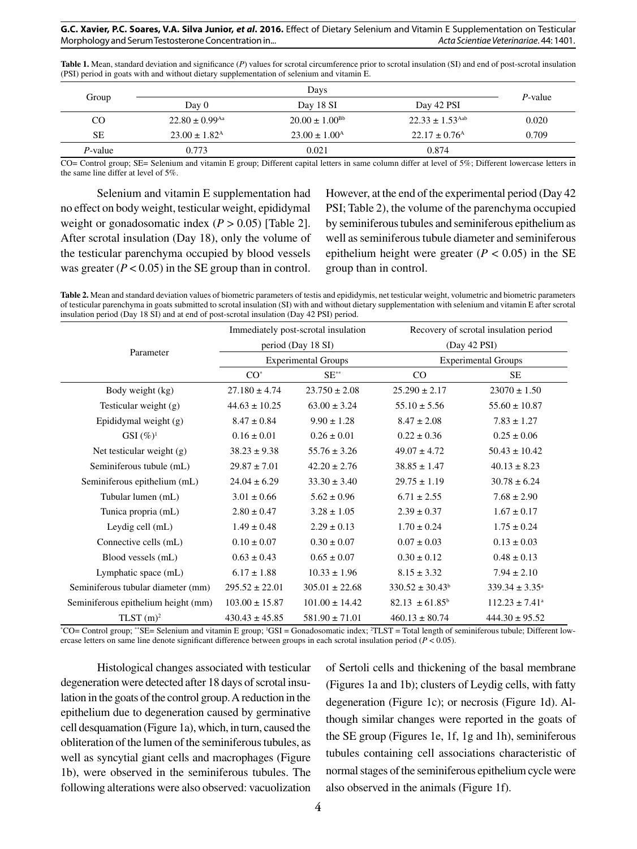#### **G.C. Xavier, P.C. Soares, V.A. Silva Junior,** *et al***. 2016.** Effect of Dietary Selenium and Vitamin E Supplementation on Testicular Morphology and Serum Testosterone Concentration in... *Acta Scientiae Veterinariae*. 44: 1401.

Table 1. Mean, standard deviation and significance (*P*) values for scrotal circumference prior to scrotal insulation (SI) and end of post-scrotal insulation (PSI) period in goats with and without dietary supplementation of selenium and vitamin E.

| Group     |                                |                             |                                 |            |
|-----------|--------------------------------|-----------------------------|---------------------------------|------------|
|           | Day 0                          | Day 18 SI                   | Day 42 PSI                      | $P$ -value |
| CO        | $22.80 \pm 0.99$ <sup>Aa</sup> | $20.00 \pm 1.00^{\rm Bb}$   | $22.33 \pm 1.53$ <sup>Aab</sup> | 0.020      |
| <b>SE</b> | $23.00 \pm 1.82^{\rm A}$       | $23.00 \pm 1.00^{\text{A}}$ | $22.17 \pm 0.76$ <sup>A</sup>   | 0.709      |
| P-value   | 0.773                          | 0.021                       | 0.874                           |            |

CO= Control group; SE= Selenium and vitamin E group; Different capital letters in same column differ at level of 5%; Different lowercase letters in the same line differ at level of 5%.

Selenium and vitamin E supplementation had no effect on body weight, testicular weight, epididymal weight or gonadosomatic index  $(P > 0.05)$  [Table 2]. After scrotal insulation (Day 18), only the volume of the testicular parenchyma occupied by blood vessels was greater  $(P < 0.05)$  in the SE group than in control. However, at the end of the experimental period (Day 42 PSI; Table 2), the volume of the parenchyma occupied by seminiferous tubules and seminiferous epithelium as well as seminiferous tubule diameter and seminiferous epithelium height were greater  $(P < 0.05)$  in the SE group than in control.

**Table 2.** Mean and standard deviation values of biometric parameters of testis and epididymis, net testicular weight, volumetric and biometric parameters of testicular parenchyma in goats submitted to scrotal insulation (SI) with and without dietary supplementation with selenium and vitamin E after scrotal insulation period (Day 18 SI) and at end of post-scrotal insulation (Day 42 PSI) period.

|                                     |                            | Immediately post-scrotal insulation |                      | Recovery of scrotal insulation period |  |  |
|-------------------------------------|----------------------------|-------------------------------------|----------------------|---------------------------------------|--|--|
| Parameter                           | period (Day 18 SI)         |                                     |                      | (Day 42 PSI)                          |  |  |
|                                     | <b>Experimental Groups</b> |                                     |                      | <b>Experimental Groups</b>            |  |  |
|                                     | $CO*$                      | $SE^{**}$                           | CO                   | <b>SE</b>                             |  |  |
| Body weight (kg)                    | $27.180 \pm 4.74$          | $23.750 \pm 2.08$                   | $25.290 \pm 2.17$    | $23070 \pm 1.50$                      |  |  |
| Testicular weight (g)               | $44.63 \pm 10.25$          | $63.00 \pm 3.24$                    | $55.10 \pm 5.56$     | $55.60 \pm 10.87$                     |  |  |
| Epididymal weight (g)               | $8.47 \pm 0.84$            | $9.90 \pm 1.28$                     | $8.47 \pm 2.08$      | $7.83 \pm 1.27$                       |  |  |
| $GSI(\%)^1$                         | $0.16 \pm 0.01$            | $0.26 \pm 0.01$                     | $0.22 \pm 0.36$      | $0.25 \pm 0.06$                       |  |  |
| Net testicular weight (g)           | $38.23 \pm 9.38$           | $55.76 \pm 3.26$                    | $49.07 \pm 4.72$     | $50.43 \pm 10.42$                     |  |  |
| Seminiferous tubule (mL)            | $29.87 \pm 7.01$           | $42.20 \pm 2.76$                    | $38.85 \pm 1.47$     | $40.13 \pm 8.23$                      |  |  |
| Seminiferous epithelium (mL)        | $24.04 \pm 6.29$           | $33.30 \pm 3.40$                    | $29.75 \pm 1.19$     | $30.78 \pm 6.24$                      |  |  |
| Tubular lumen (mL)                  | $3.01 \pm 0.66$            | $5.62 \pm 0.96$                     | $6.71 \pm 2.55$      | $7.68 \pm 2.90$                       |  |  |
| Tunica propria (mL)                 | $2.80 \pm 0.47$            | $3.28 \pm 1.05$                     | $2.39 \pm 0.37$      | $1.67 \pm 0.17$                       |  |  |
| Leydig cell (mL)                    | $1.49 \pm 0.48$            | $2.29 \pm 0.13$                     | $1.70 \pm 0.24$      | $1.75 \pm 0.24$                       |  |  |
| Connective cells (mL)               | $0.10 \pm 0.07$            | $0.30 \pm 0.07$                     | $0.07 \pm 0.03$      | $0.13 \pm 0.03$                       |  |  |
| Blood vessels (mL)                  | $0.63 \pm 0.43$            | $0.65 \pm 0.07$                     | $0.30 \pm 0.12$      | $0.48 \pm 0.13$                       |  |  |
| Lymphatic space (mL)                | $6.17 \pm 1.88$            | $10.33 \pm 1.96$                    | $8.15 \pm 3.32$      | $7.94 \pm 2.10$                       |  |  |
| Seminiferous tubular diameter (mm)  | $295.52 \pm 22.01$         | $305.01 \pm 22.68$                  | $330.52 \pm 30.43^b$ | $339.34 \pm 3.35^{\circ}$             |  |  |
| Seminiferous epithelium height (mm) | $103.00 \pm 15.87$         | $101.00 \pm 14.42$                  | $82.13 \pm 61.85^b$  | $112.23 \pm 7.41^{\circ}$             |  |  |
| TLST $(m)^2$                        | $430.43 \pm 45.85$         | $581.90 \pm 71.01$                  | $460.13 \pm 80.74$   | $444.30 \pm 95.52$                    |  |  |

\* CO= Control group; \*\*SE= Selenium and vitamin E group; 1 GSI = Gonadosomatic index; 2 TLST = Total length of seminiferous tubule; Different lowercase letters on same line denote significant difference between groups in each scrotal insulation period (*P* < 0.05).

Histological changes associated with testicular degeneration were detected after 18 days of scrotal insulation in the goats of the control group. A reduction in the epithelium due to degeneration caused by germinative cell desquamation (Figure 1a), which, in turn, caused the obliteration of the lumen of the seminiferous tubules, as well as syncytial giant cells and macrophages (Figure 1b), were observed in the seminiferous tubules. The following alterations were also observed: vacuolization of Sertoli cells and thickening of the basal membrane (Figures 1a and 1b); clusters of Leydig cells, with fatty degeneration (Figure 1c); or necrosis (Figure 1d). Although similar changes were reported in the goats of the SE group (Figures 1e, 1f, 1g and 1h), seminiferous tubules containing cell associations characteristic of normal stages of the seminiferous epithelium cycle were also observed in the animals (Figure 1f).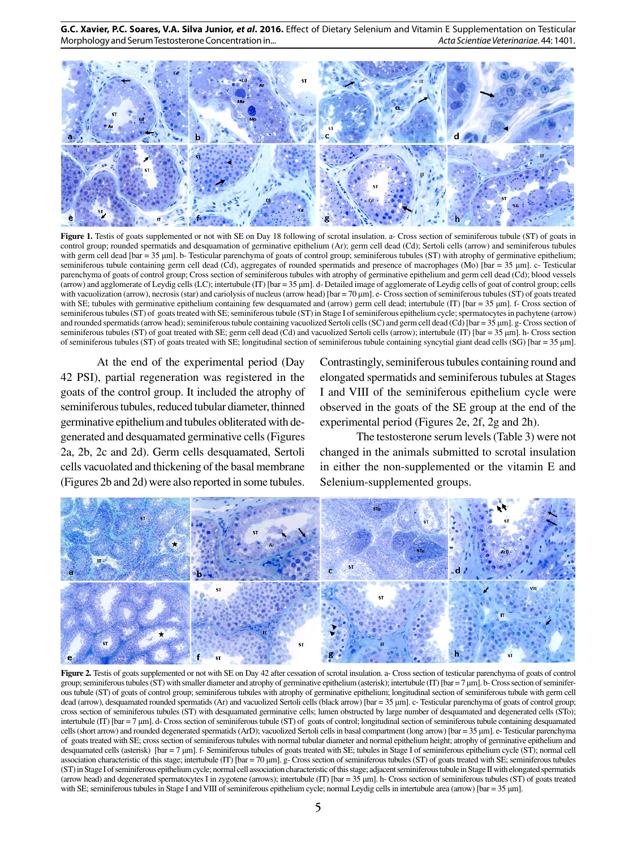**G.C. Xavier, P.C. Soares, V.A. Silva Junior,** *et al***. 2016.** Effect of Dietary Selenium and Vitamin E Supplementation on Testicular Morphology and Serum Testosterone Concentration in... *Acta Scientiae Veterinariae*. 44: 1401.



Figure 1. Testis of goats supplemented or not with SE on Day 18 following of scrotal insulation. a- Cross section of seminiferous tubule (ST) of goats in control group; rounded spermatids and desquamation of germinative epithelium (Ar); germ cell dead (Cd); Sertoli cells (arrow) and seminiferous tubules with germ cell dead [bar = 35 μm]. b- Testicular parenchyma of goats of control group; seminiferous tubules (ST) with atrophy of germinative epithelium; seminiferous tubule containing germ cell dead (Cd), aggregates of rounded spermatids and presence of macrophages (Mo) [bar = 35 μm]. c- Testicular parenchyma of goats of control group; Cross section of seminiferous tubules with atrophy of germinative epithelium and germ cell dead (Cd); blood vessels (arrow) and agglomerate of Leydig cells (LC); intertubule (IT) [bar = 35 μm]. d- Detailed image of agglomerate of Leydig cells of goat of control group; cells with vacuolization (arrow), necrosis (star) and cariolysis of nucleus (arrow head) [bar = 70 μm]. e- Cross section of seminiferous tubules (ST) of goats treated with SE; tubules with germinative epithelium containing few desquamated and (arrow) germ cell dead; intertubule (IT) [bar = 35 µm]. f- Cross section of seminiferous tubules (ST) of goats treated with SE; seminiferous tubule (ST) in Stage I of seminiferous epithelium cycle; spermatocytes in pachytene (arrow) and rounded spermatids (arrow head); seminiferous tubule containing vacuolized Sertoli cells (SC) and germ cell dead (Cd) [bar = 35 μm]. g- Cross section of seminiferous tubules (ST) of goat treated with SE; germ cell dead (Cd) and vacuolized Sertoli cells (arrow); intertubule (IT) [bar = 35 μm]. h- Cross section of seminiferous tubules (ST) of goats treated with SE; longitudinal section of seminiferous tubule containing syncytial giant dead cells (SG) [bar = 35 μm].

At the end of the experimental period (Day 42 PSI), partial regeneration was registered in the goats of the control group. It included the atrophy of seminiferous tubules, reduced tubular diameter, thinned germinative epithelium and tubules obliterated with degenerated and desquamated germinative cells (Figures 2a, 2b, 2c and 2d). Germ cells desquamated, Sertoli cells vacuolated and thickening of the basal membrane (Figures 2b and 2d) were also reported in some tubules.

Contrastingly, seminiferous tubules containing round and elongated spermatids and seminiferous tubules at Stages I and VIII of the seminiferous epithelium cycle were observed in the goats of the SE group at the end of the experimental period (Figures 2e, 2f, 2g and 2h).

The testosterone serum levels (Table 3) were not changed in the animals submitted to scrotal insulation in either the non-supplemented or the vitamin E and Selenium-supplemented groups.



**Figure 2.** Testis of goats supplemented or not with SE on Day 42 after cessation of scrotal insulation. a- Cross section of testicular parenchyma of goats of control group; seminiferous tubules (ST) with smaller diameter and atrophy of germinative epithelium (asterisk); intertubule (IT) [bar = 7 μm]. b- Cross section of seminiferous tubule (ST) of goats of control group; seminiferous tubules with atrophy of germinative epithelium; longitudinal section of seminiferous tubule with germ cell dead (arrow), desquamated rounded spermatids (Ar) and vacuolized Sertoli cells (black arrow) [bar = 35 µm]. c- Testicular parenchyma of goats of control group; cross section of seminiferous tubules (ST) with desquamated germinative cells; lumen obstructed by large number of desquamated and degenerated cells (STo); intertubule (IT) [bar = 7 μm]. d- Cross section of seminiferous tubule (ST) of goats of control; longitudinal section of seminiferous tubule containing desquamated cells (short arrow) and rounded degenerated spermatids (ArD); vacuolized Sertoli cells in basal compartment (long arrow) [bar = 35 μm]. e- Testicular parenchyma of goats treated with SE; cross section of seminiferous tubules with normal tubular diameter and normal epithelium height; atrophy of germinative epithelium and desquamated cells (asterisk) [bar = 7 µm]. f- Seminiferous tubules of goats treated with SE; tubules in Stage I of seminiferous epithelium cycle (ST); normal cell association characteristic of this stage; intertubule (IT) [bar = 70 µm]. g- Cross section of seminiferous tubules (ST) of goats treated with SE; seminiferous tubules (ST) in Stage I of seminiferous epithelium cycle; normal cell association characteristic of this stage; adjacent seminiferous tubule in Stage II with elongated spermatids (arrow head) and degenerated spermatocytes I in zygotene (arrows); intertubule (IT)  $[\text{bar} = 35 \text{ }\mu\text{m}]$ . h- Cross section of seminiferous tubules (ST) of goats treated with SE; seminiferous tubules in Stage I and VIII of seminiferous epithelium cycle; normal Leydig cells in intertubule area (arrow) [bar = 35 μm].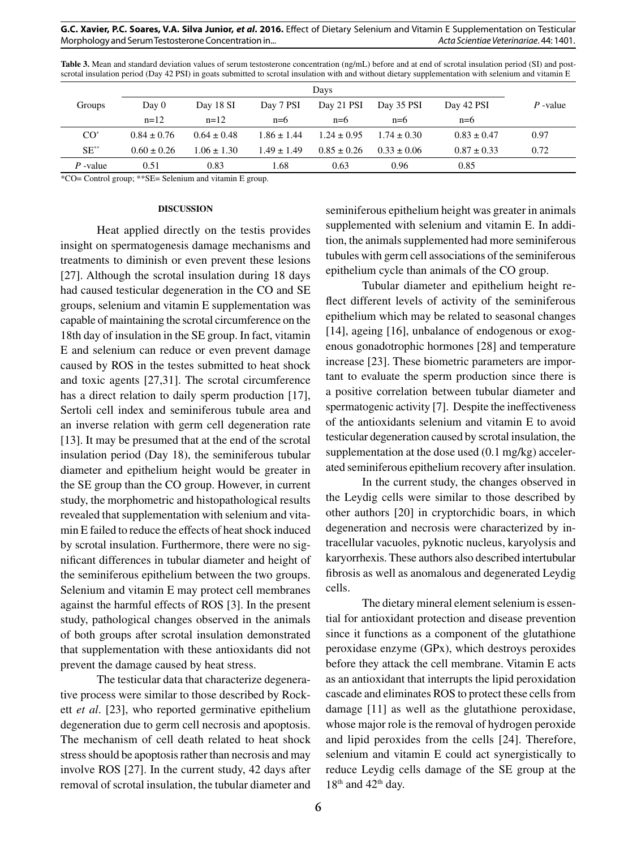#### **G.C. Xavier, P.C. Soares, V.A. Silva Junior,** *et al***. 2016.** Effect of Dietary Selenium and Vitamin E Supplementation on Testicular Morphology and Serum Testosterone Concentration in... *Acta Scientiae Veterinariae*. 44: 1401.

**Table 3.** Mean and standard deviation values of serum testosterone concentration (ng/mL) before and at end of scrotal insulation period (SI) and postscrotal insulation period (Day 42 PSI) in goats submitted to scrotal insulation with and without dietary supplementation with selenium and vitamin E

|              | Davs            |                 |                 |                 |                 |                 |            |
|--------------|-----------------|-----------------|-----------------|-----------------|-----------------|-----------------|------------|
| Groups       | Day 0           | Day 18 SI       | Day 7 PSI       | Day 21 PSI      | Day 35 PSI      | Day 42 PSI      | $P$ -value |
|              | $n=12$          | $n=12$          | $n=6$           | $n=6$           | $n=6$           | $n=6$           |            |
| ${\rm CO}^*$ | $0.84 + 0.76$   | $0.64 \pm 0.48$ | $1.86 \pm 1.44$ | $1.24 + 0.95$   | $1.74 + 0.30$   | $0.83 \pm 0.47$ | 0.97       |
| $SE^{**}$    | $0.60 \pm 0.26$ | $1.06 \pm 1.30$ | $1.49 \pm 1.49$ | $0.85 \pm 0.26$ | $0.33 \pm 0.06$ | $0.87 \pm 0.33$ | 0.72       |
| $P$ -value   | 0.51            | 0.83            | 1.68            | 0.63            | 0.96            | 0.85            |            |

\*CO= Control group; \*\*SE= Selenium and vitamin E group.

#### **DISCUSSION**

Heat applied directly on the testis provides insight on spermatogenesis damage mechanisms and treatments to diminish or even prevent these lesions [27]. Although the scrotal insulation during 18 days had caused testicular degeneration in the CO and SE groups, selenium and vitamin E supplementation was capable of maintaining the scrotal circumference on the 18th day of insulation in the SE group. In fact, vitamin E and selenium can reduce or even prevent damage caused by ROS in the testes submitted to heat shock and toxic agents [27,31]. The scrotal circumference has a direct relation to daily sperm production [17], Sertoli cell index and seminiferous tubule area and an inverse relation with germ cell degeneration rate [13]. It may be presumed that at the end of the scrotal insulation period (Day 18), the seminiferous tubular diameter and epithelium height would be greater in the SE group than the CO group. However, in current study, the morphometric and histopathological results revealed that supplementation with selenium and vitamin E failed to reduce the effects of heat shock induced by scrotal insulation. Furthermore, there were no significant differences in tubular diameter and height of the seminiferous epithelium between the two groups. Selenium and vitamin E may protect cell membranes against the harmful effects of ROS [3]. In the present study, pathological changes observed in the animals of both groups after scrotal insulation demonstrated that supplementation with these antioxidants did not prevent the damage caused by heat stress.

The testicular data that characterize degenerative process were similar to those described by Rockett *et al*. [23], who reported germinative epithelium degeneration due to germ cell necrosis and apoptosis. The mechanism of cell death related to heat shock stress should be apoptosis rather than necrosis and may involve ROS [27]. In the current study, 42 days after removal of scrotal insulation, the tubular diameter and seminiferous epithelium height was greater in animals supplemented with selenium and vitamin E. In addition, the animals supplemented had more seminiferous tubules with germ cell associations of the seminiferous epithelium cycle than animals of the CO group.

Tubular diameter and epithelium height reflect different levels of activity of the seminiferous epithelium which may be related to seasonal changes [14], ageing [16], unbalance of endogenous or exogenous gonadotrophic hormones [28] and temperature increase [23]. These biometric parameters are important to evaluate the sperm production since there is a positive correlation between tubular diameter and spermatogenic activity [7]. Despite the ineffectiveness of the antioxidants selenium and vitamin E to avoid testicular degeneration caused by scrotal insulation, the supplementation at the dose used (0.1 mg/kg) accelerated seminiferous epithelium recovery after insulation.

In the current study, the changes observed in the Leydig cells were similar to those described by other authors [20] in cryptorchidic boars, in which degeneration and necrosis were characterized by intracellular vacuoles, pyknotic nucleus, karyolysis and karyorrhexis. These authors also described intertubular fibrosis as well as anomalous and degenerated Leydig cells.

The dietary mineral element selenium is essential for antioxidant protection and disease prevention since it functions as a component of the glutathione peroxidase enzyme (GPx), which destroys peroxides before they attack the cell membrane. Vitamin E acts as an antioxidant that interrupts the lipid peroxidation cascade and eliminates ROS to protect these cells from damage [11] as well as the glutathione peroxidase, whose major role is the removal of hydrogen peroxide and lipid peroxides from the cells [24]. Therefore, selenium and vitamin E could act synergistically to reduce Leydig cells damage of the SE group at the  $18<sup>th</sup>$  and  $42<sup>th</sup>$  day.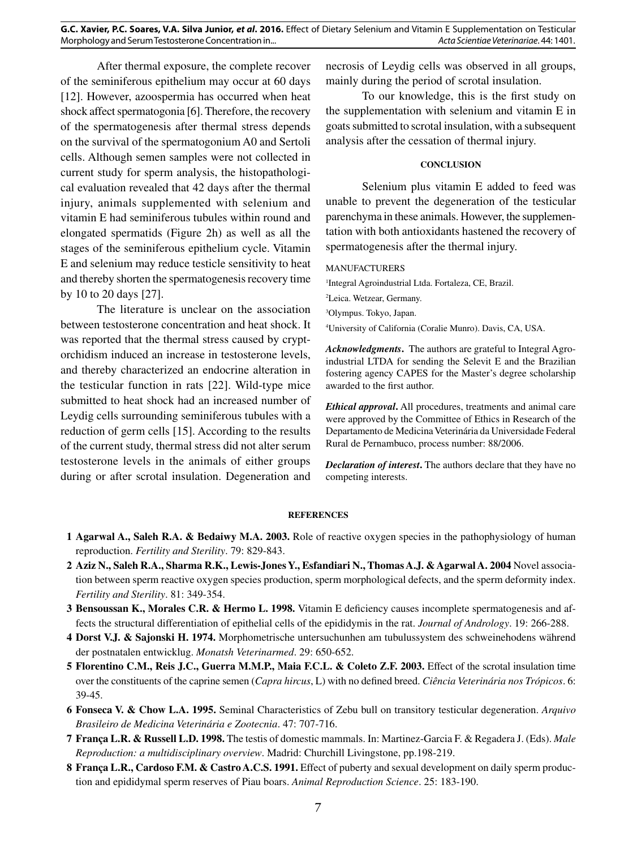After thermal exposure, the complete recover of the seminiferous epithelium may occur at 60 days [12]. However, azoospermia has occurred when heat shock affect spermatogonia [6]. Therefore, the recovery of the spermatogenesis after thermal stress depends on the survival of the spermatogonium A0 and Sertoli cells. Although semen samples were not collected in current study for sperm analysis, the histopathological evaluation revealed that 42 days after the thermal injury, animals supplemented with selenium and vitamin E had seminiferous tubules within round and elongated spermatids (Figure 2h) as well as all the stages of the seminiferous epithelium cycle. Vitamin E and selenium may reduce testicle sensitivity to heat and thereby shorten the spermatogenesis recovery time by 10 to 20 days [27].

The literature is unclear on the association between testosterone concentration and heat shock. It was reported that the thermal stress caused by cryptorchidism induced an increase in testosterone levels, and thereby characterized an endocrine alteration in the testicular function in rats [22]. Wild-type mice submitted to heat shock had an increased number of Leydig cells surrounding seminiferous tubules with a reduction of germ cells [15]. According to the results of the current study, thermal stress did not alter serum testosterone levels in the animals of either groups during or after scrotal insulation. Degeneration and

necrosis of Leydig cells was observed in all groups, mainly during the period of scrotal insulation.

To our knowledge, this is the first study on the supplementation with selenium and vitamin E in goats submitted to scrotal insulation, with a subsequent analysis after the cessation of thermal injury.

## **CONCLUSION**

Selenium plus vitamin E added to feed was unable to prevent the degeneration of the testicular parenchyma in these animals. However, the supplementation with both antioxidants hastened the recovery of spermatogenesis after the thermal injury.

## MANUFACTURERS

1 Integral Agroindustrial Ltda. Fortaleza, CE, Brazil.

2 Leica. Wetzear, Germany.

3 Olympus. Tokyo, Japan.

4 University of California (Coralie Munro). Davis, CA, USA.

*Acknowledgments***.** The authors are grateful to Integral Agroindustrial LTDA for sending the Selevit E and the Brazilian fostering agency CAPES for the Master's degree scholarship awarded to the first author.

*Ethical approval***.** All procedures, treatments and animal care were approved by the Committee of Ethics in Research of the Departamento de Medicina Veterinária da Universidade Federal Rural de Pernambuco, process number: 88/2006.

*Declaration of interest***.** The authors declare that they have no competing interests.

## **REFERENCES**

- **1 Agarwal A., Saleh R.A. & Bedaiwy M.A. 2003.** Role of reactive oxygen species in the pathophysiology of human reproduction. *Fertility and Sterility*. 79: 829-843.
- **2 Aziz N., Saleh R.A., Sharma R.K., Lewis-Jones Y., Esfandiari N., Thomas A.J. & Agarwal A. 2004** Novel association between sperm reactive oxygen species production, sperm morphological defects, and the sperm deformity index. *Fertility and Sterility*. 81: 349-354.
- **3 Bensoussan K., Morales C.R. & Hermo L. 1998.** Vitamin E deficiency causes incomplete spermatogenesis and affects the structural differentiation of epithelial cells of the epididymis in the rat. *Journal of Andrology*. 19: 266-288.
- **4 Dorst V.J. & Sajonski H. 1974.** Morphometrische untersuchunhen am tubulussystem des schweinehodens während der postnatalen entwicklug. *Monatsh Veterinarmed*. 29: 650-652.
- **5 Florentino C.M., Reis J.C., Guerra M.M.P., Maia F.C.L. & Coleto Z.F. 2003.** Effect of the scrotal insulation time over the constituents of the caprine semen (*Capra hircus*, L) with no defined breed. *Ciência Veterinária nos Trópicos*. 6: 39-45.
- **6 Fonseca V. & Chow L.A. 1995.** Seminal Characteristics of Zebu bull on transitory testicular degeneration. *Arquivo Brasileiro de Medicina Veterinária e Zootecnia*. 47: 707-716.
- **7 França L.R. & Russell L.D. 1998.** The testis of domestic mammals. In: Martinez-Garcia F. & Regadera J. (Eds). *Male Reproduction: a multidisciplinary overview*. Madrid: Churchill Livingstone, pp.198-219.
- **8 França L.R., Cardoso F.M. & Castro A.C.S. 1991.** Effect of puberty and sexual development on daily sperm production and epididymal sperm reserves of Piau boars. *Animal Reproduction Science*. 25: 183-190.